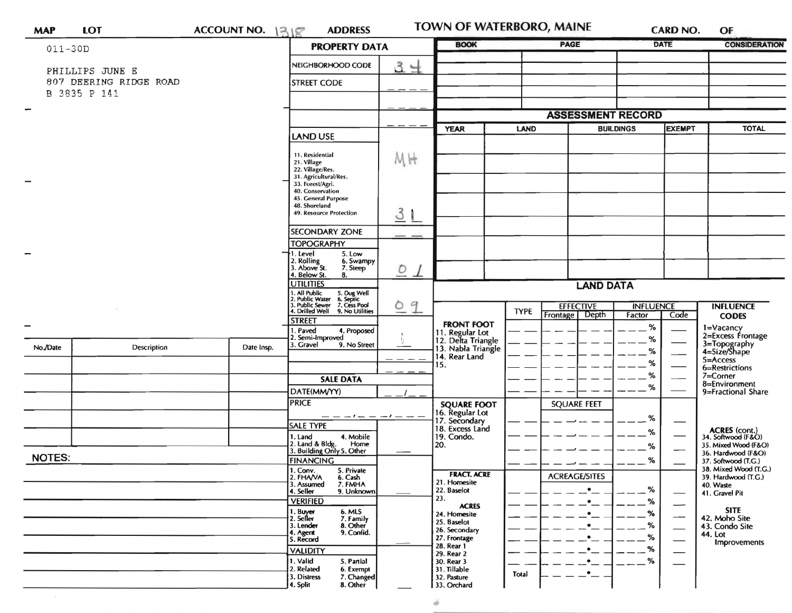| <b>MAP</b>               | <b>LOT</b>                                | ACCOUNT NO. 1318 | <b>ADDRESS</b>                                                                                                                                         |                | TOWN OF WATERBORO, MAINE              |             |                          |                  | <b>CARD NO.</b>          | OF                                                          |
|--------------------------|-------------------------------------------|------------------|--------------------------------------------------------------------------------------------------------------------------------------------------------|----------------|---------------------------------------|-------------|--------------------------|------------------|--------------------------|-------------------------------------------------------------|
| $011 - 30D$              |                                           |                  | <b>PROPERTY DATA</b>                                                                                                                                   |                | <b>BOOK</b>                           |             | PAGE                     |                  | <b>DATE</b>              | <b>CONSIDERATION</b>                                        |
|                          | PHILLIPS JUNE E<br>807 DEERING RIDGE ROAD |                  | NEIGHBORHOOD CODE<br><b>STREET CODE</b>                                                                                                                | 34             |                                       |             |                          |                  |                          |                                                             |
|                          | B 3835 P 141                              |                  |                                                                                                                                                        |                |                                       |             |                          |                  |                          |                                                             |
| $\overline{\phantom{a}}$ |                                           |                  |                                                                                                                                                        |                | <b>ASSESSMENT RECORD</b>              |             |                          |                  |                          |                                                             |
|                          |                                           |                  |                                                                                                                                                        |                | <b>YEAR</b>                           | LAND        | <b>BUILDINGS</b>         |                  | <b>EXEMPT</b>            | <b>TOTAL</b>                                                |
|                          |                                           |                  | <b>LAND USE</b>                                                                                                                                        |                |                                       |             |                          |                  |                          |                                                             |
|                          |                                           |                  | 11. Residential<br>21. Village                                                                                                                         | MH             |                                       |             |                          |                  |                          |                                                             |
|                          |                                           |                  | 22. Village/Res.<br>31. Agricultural/Res.                                                                                                              |                |                                       |             |                          |                  |                          |                                                             |
|                          |                                           |                  | 33. Forest/Agri.<br>40. Conservation                                                                                                                   |                |                                       |             |                          |                  |                          |                                                             |
|                          |                                           |                  | 45. General Purpose<br>48. Shoreland                                                                                                                   |                |                                       |             |                          |                  |                          |                                                             |
|                          |                                           |                  | 49. Resource Protection                                                                                                                                | 3 <sub>1</sub> |                                       |             |                          |                  |                          |                                                             |
|                          |                                           |                  | <b>SECONDARY ZONE</b>                                                                                                                                  | - -            |                                       |             |                          |                  |                          |                                                             |
|                          |                                           |                  | <b>TOPOGRAPHY</b>                                                                                                                                      |                |                                       |             |                          |                  |                          |                                                             |
| <b>SHOP</b>              |                                           |                  | 1. Level<br>5. Low<br>2. Rolling<br>3. Above St.<br>6. Swampy                                                                                          |                |                                       |             |                          |                  |                          |                                                             |
|                          |                                           |                  | 7. Steep<br>4. Below St.<br>8.                                                                                                                         | $O_1$          |                                       |             |                          |                  |                          |                                                             |
|                          |                                           |                  | <b>UTILITIES</b><br>1. All Public<br>2. Public Water<br>3. Public Sewer<br>4. Drilled Well<br>5. Dug Well<br>6. Septic<br>7. Cess Pool<br>9<br>$\circ$ |                | <b>LAND DATA</b>                      |             |                          |                  |                          |                                                             |
|                          |                                           |                  |                                                                                                                                                        |                |                                       |             | <b>EFFECTIVE</b>         | <b>INFLUENCE</b> |                          | <b>INFLUENCE</b>                                            |
|                          |                                           |                  | 9. No Utilities<br><b>STREET</b>                                                                                                                       |                | <b>FRONT FOOT</b>                     | <b>TYPE</b> | Depth<br><b>Frontage</b> | Factor           | Code                     | <b>CODES</b>                                                |
|                          |                                           |                  | . Paved<br>4. Proposed<br>2. Semi-Improved<br>3. Gravel<br>9. No Street                                                                                |                | 11. Regular Lot<br>12. Delta Triangle |             |                          | %<br>%           |                          | 1=Vacancy<br>2=Excess Frontage                              |
| No./Date                 | Description                               | Date Insp.       |                                                                                                                                                        |                | 13. Nabla Triangle<br>14. Rear Land   |             |                          | %                |                          | 3=Topography<br>4=Size/Shape<br>$5 =$ Access                |
|                          |                                           |                  |                                                                                                                                                        |                | 15.                                   |             |                          | ℅                |                          | 6=Restrictions                                              |
|                          |                                           |                  | <b>SALE DATA</b>                                                                                                                                       |                |                                       |             |                          | %<br>%           |                          | 7=Corner<br>8=Environment                                   |
|                          |                                           |                  | DATE(MM/YY)<br><b>PRICE</b>                                                                                                                            |                |                                       |             |                          |                  |                          | 9=Fractional Share                                          |
|                          |                                           |                  |                                                                                                                                                        |                | <b>SQUARE FOOT</b><br>16. Regular Lot |             | <b>SQUARE FEET</b>       |                  |                          |                                                             |
|                          |                                           |                  | <b>SALE TYPE</b>                                                                                                                                       |                | 17. Secondary<br>18. Excess Land      |             |                          | %<br>%           |                          |                                                             |
|                          |                                           |                  | 4. Mobile<br>1. Land<br>2. Land & Bldg. Home<br>3. Building Only 5. Other<br>Home                                                                      |                | 19. Condo.<br>20.                     |             |                          | %                |                          | ACRES (cont.)<br>34. Softwood (F&O)<br>35. Mixed Wood (F&O) |
| <b>NOTES:</b>            |                                           |                  | <b>FINANCING</b>                                                                                                                                       |                |                                       |             |                          | %                |                          | 36. Hardwood (F&O)<br>37. Softwood (T.G.)                   |
|                          |                                           |                  | 1. Conv.<br>5. Private                                                                                                                                 |                | <b>FRACT. ACRE</b>                    |             |                          |                  |                          | 38. Mixed Wood (T.G.)                                       |
|                          |                                           |                  | 2. FHAVA<br>6. Cash<br>3. Assumed<br>7. FMHA                                                                                                           |                | 21. Homesite<br>22. Baselot           |             | <b>ACREAGE/SITES</b>     | %                |                          | 39. Hardwood (T.G.)<br>40. Waste                            |
|                          |                                           |                  | 4. Seller<br>9. Unknown<br><b>VERIFIED</b>                                                                                                             |                | 23.                                   |             |                          | ℅                |                          | 41. Gravel Pit                                              |
|                          |                                           |                  | 1. Buyer<br>2. Seller<br>6. MLS<br>7. Family                                                                                                           |                | <b>ACRES</b><br>24. Homesite          |             | ۰                        | %                | $\overline{\phantom{0}}$ | <b>SITE</b><br>42. Moho Site                                |
|                          |                                           |                  | 3. Lender<br>8. Other<br>9. Confid.<br>4. Agent                                                                                                        |                | 25. Baselot<br>26. Secondary          |             |                          | %                |                          | 43. Condo Site                                              |
|                          |                                           |                  | 5. Record                                                                                                                                              |                | 27. Frontage<br>28. Rear 1            |             |                          | %                |                          | 44. Lot<br><b>Improvements</b>                              |
|                          |                                           |                  | <b>VALIDITY</b><br>1. Valid<br>5. Partial                                                                                                              |                | 29. Rear 2<br>30. Rear 3              |             |                          | %<br>$\%$        |                          |                                                             |
|                          |                                           |                  | 2. Related<br>6. Exempt                                                                                                                                |                | 31. Tillable                          | Total       | ٠                        |                  |                          |                                                             |
|                          |                                           |                  | 3. Distress<br>7. Changed<br>4. Split<br>8. Other                                                                                                      |                | 32. Pasture<br>33. Orchard            |             |                          |                  |                          |                                                             |
|                          |                                           |                  |                                                                                                                                                        |                |                                       |             |                          |                  |                          |                                                             |